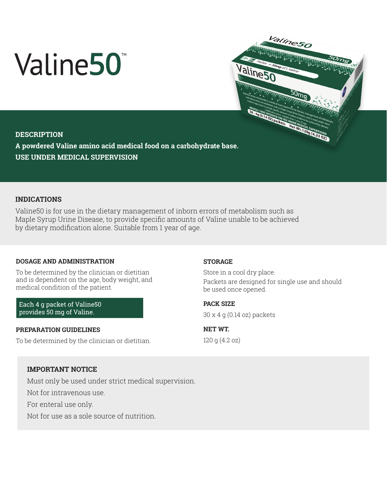# Valine50<sup>®</sup>



# **DESCRIPTION**

**A powdered Valine amino acid medical food on a carbohydrate base. USE UNDER MEDICAL SUPERVISION**

# **INDICATIONS**

Valine50 is for use in the dietary management of inborn errors of metabolism such as Maple Syrup Urine Disease, to provide specific amounts of Valine unable to be achieved by dietary modification alone. Suitable from 1 year of age.

### **DOSAGE AND ADMINISTRATION**

To be determined by the clinician or dietitian and is dependent on the age, body weight, and medical condition of the patient.

Each 4 g packet of Valine50 provides 50 mg of Valine.

### **PREPARATION GUIDELINES**

To be determined by the clinician or dietitian.

### **STORAGE**

Store in a cool dry place. Packets are designed for single use and should be used once opened.

**PACK SIZE** 

30 x 4 g (0.14 oz) packets

**NET WT.**  120 g (4.2 oz)

# **IMPORTANT NOTICE**

Must only be used under strict medical supervision.

Not for intravenous use.

For enteral use only.

Not for use as a sole source of nutrition.